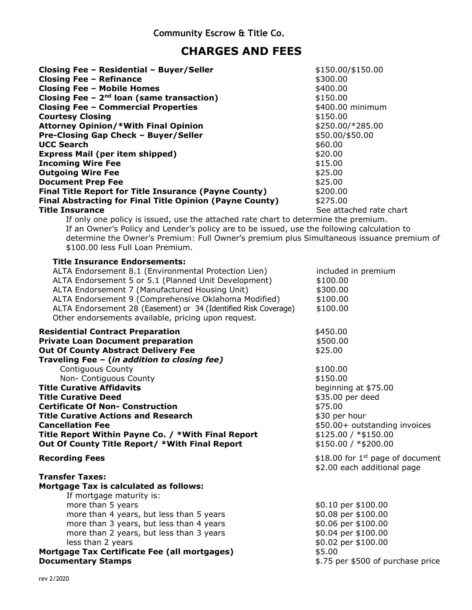## **CHARGES AND FEES**

| Closing Fee - Residential - Buyer/Seller<br><b>Closing Fee - Refinance</b><br><b>Closing Fee - Mobile Homes</b><br>Closing Fee $-2nd$ loan (same transaction)<br><b>Closing Fee - Commercial Properties</b><br><b>Courtesy Closing</b><br><b>Attorney Opinion/*With Final Opinion</b><br>Pre-Closing Gap Check - Buyer/Seller<br><b>UCC Search</b><br><b>Express Mail (per item shipped)</b><br><b>Incoming Wire Fee</b><br><b>Outgoing Wire Fee</b><br><b>Document Prep Fee</b><br><b>Final Title Report for Title Insurance (Payne County)</b><br><b>Final Abstracting for Final Title Opinion (Payne County)</b> | \$150.00/\$150.00<br>\$300.00<br>\$400.00<br>\$150.00<br>\$400.00 minimum<br>\$150.00<br>\$250.00/*285.00<br>\$50.00/\$50.00<br>\$60.00<br>\$20.00<br>\$15.00<br>\$25.00<br>\$25.00<br>\$200.00<br>\$275.00                                                                     |  |  |  |  |
|---------------------------------------------------------------------------------------------------------------------------------------------------------------------------------------------------------------------------------------------------------------------------------------------------------------------------------------------------------------------------------------------------------------------------------------------------------------------------------------------------------------------------------------------------------------------------------------------------------------------|---------------------------------------------------------------------------------------------------------------------------------------------------------------------------------------------------------------------------------------------------------------------------------|--|--|--|--|
| <b>Title Insurance</b>                                                                                                                                                                                                                                                                                                                                                                                                                                                                                                                                                                                              | See attached rate chart                                                                                                                                                                                                                                                         |  |  |  |  |
| \$100.00 less Full Loan Premium.                                                                                                                                                                                                                                                                                                                                                                                                                                                                                                                                                                                    | If only one policy is issued, use the attached rate chart to determine the premium.<br>If an Owner's Policy and Lender's policy are to be issued, use the following calculation to<br>determine the Owner's Premium: Full Owner's premium plus Simultaneous issuance premium of |  |  |  |  |
| <b>Title Insurance Endorsements:</b><br>ALTA Endorsement 8.1 (Environmental Protection Lien)<br>ALTA Endorsement 5 or 5.1 (Planned Unit Development)<br>ALTA Endorsement 7 (Manufactured Housing Unit)<br>ALTA Endorsement 9 (Comprehensive Oklahoma Modified)<br>ALTA Endorsement 28 (Easement) or 34 (Identified Risk Coverage)<br>Other endorsements available, pricing upon request.                                                                                                                                                                                                                            | included in premium<br>\$100.00<br>\$300.00<br>\$100.00<br>\$100.00                                                                                                                                                                                                             |  |  |  |  |
| <b>Residential Contract Preparation</b><br><b>Private Loan Document preparation</b><br><b>Out Of County Abstract Delivery Fee</b><br>Traveling Fee - (in addition to closing fee)<br><b>Contiguous County</b>                                                                                                                                                                                                                                                                                                                                                                                                       | \$450.00<br>\$500.00<br>\$25.00<br>\$100.00                                                                                                                                                                                                                                     |  |  |  |  |
| Non- Contiguous County                                                                                                                                                                                                                                                                                                                                                                                                                                                                                                                                                                                              | \$150.00                                                                                                                                                                                                                                                                        |  |  |  |  |
| <b>Title Curative Affidavits</b>                                                                                                                                                                                                                                                                                                                                                                                                                                                                                                                                                                                    | beginning at \$75.00                                                                                                                                                                                                                                                            |  |  |  |  |
| <b>Title Curative Deed</b>                                                                                                                                                                                                                                                                                                                                                                                                                                                                                                                                                                                          | \$35.00 per deed                                                                                                                                                                                                                                                                |  |  |  |  |
| <b>Certificate Of Non- Construction</b>                                                                                                                                                                                                                                                                                                                                                                                                                                                                                                                                                                             | \$75.00                                                                                                                                                                                                                                                                         |  |  |  |  |
| <b>Title Curative Actions and Research</b>                                                                                                                                                                                                                                                                                                                                                                                                                                                                                                                                                                          | \$30 per hour                                                                                                                                                                                                                                                                   |  |  |  |  |
| <b>Cancellation Fee</b>                                                                                                                                                                                                                                                                                                                                                                                                                                                                                                                                                                                             | \$50.00+ outstanding invoices                                                                                                                                                                                                                                                   |  |  |  |  |
| Title Report Within Payne Co. / *With Final Report                                                                                                                                                                                                                                                                                                                                                                                                                                                                                                                                                                  | $$125.00 / * $150.00$                                                                                                                                                                                                                                                           |  |  |  |  |
| Out Of County Title Report/ *With Final Report                                                                                                                                                                                                                                                                                                                                                                                                                                                                                                                                                                      | $$150.00 / * $200.00$                                                                                                                                                                                                                                                           |  |  |  |  |
| <b>Recording Fees</b>                                                                                                                                                                                                                                                                                                                                                                                                                                                                                                                                                                                               | \$18.00 for $1^{st}$ page of document<br>\$2.00 each additional page                                                                                                                                                                                                            |  |  |  |  |
| <b>Transfer Taxes:</b>                                                                                                                                                                                                                                                                                                                                                                                                                                                                                                                                                                                              |                                                                                                                                                                                                                                                                                 |  |  |  |  |
| <b>Mortgage Tax is calculated as follows:</b>                                                                                                                                                                                                                                                                                                                                                                                                                                                                                                                                                                       |                                                                                                                                                                                                                                                                                 |  |  |  |  |
| If mortgage maturity is:                                                                                                                                                                                                                                                                                                                                                                                                                                                                                                                                                                                            |                                                                                                                                                                                                                                                                                 |  |  |  |  |
| more than 5 years                                                                                                                                                                                                                                                                                                                                                                                                                                                                                                                                                                                                   | \$0.10 per \$100.00                                                                                                                                                                                                                                                             |  |  |  |  |
| more than 4 years, but less than 5 years                                                                                                                                                                                                                                                                                                                                                                                                                                                                                                                                                                            | \$0.08 per \$100.00                                                                                                                                                                                                                                                             |  |  |  |  |
| more than 3 years, but less than 4 years                                                                                                                                                                                                                                                                                                                                                                                                                                                                                                                                                                            | \$0.06 per \$100.00                                                                                                                                                                                                                                                             |  |  |  |  |
| more than 2 years, but less than 3 years                                                                                                                                                                                                                                                                                                                                                                                                                                                                                                                                                                            | \$0.04 per \$100.00                                                                                                                                                                                                                                                             |  |  |  |  |
| less than 2 years                                                                                                                                                                                                                                                                                                                                                                                                                                                                                                                                                                                                   | \$0.02 per \$100.00                                                                                                                                                                                                                                                             |  |  |  |  |
| Mortgage Tax Certificate Fee (all mortgages)                                                                                                                                                                                                                                                                                                                                                                                                                                                                                                                                                                        | \$5.00                                                                                                                                                                                                                                                                          |  |  |  |  |
| <b>Documentary Stamps</b>                                                                                                                                                                                                                                                                                                                                                                                                                                                                                                                                                                                           | \$.75 per \$500 of purchase price                                                                                                                                                                                                                                               |  |  |  |  |